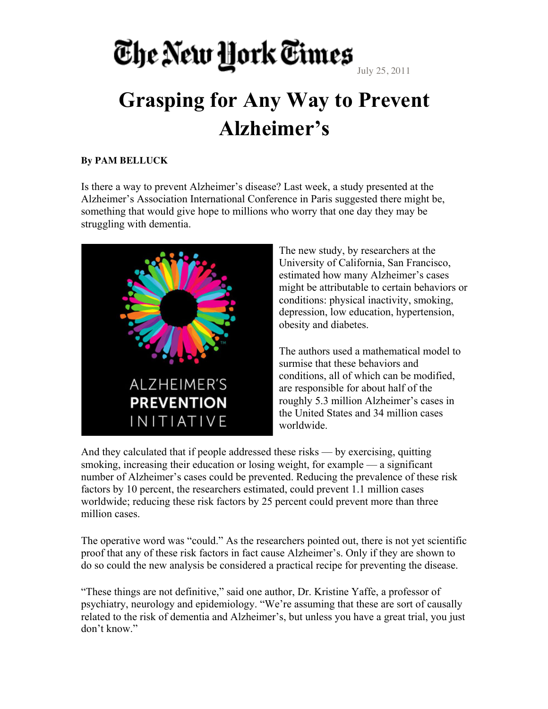## The New York Times

July 25, 2011

## **Grasping for Any Way to Prevent Alzheimer's**

## **By PAM BELLUCK**

Is there a way to prevent Alzheimer's disease? Last week, a study presented at the Alzheimer's Association International Conference in Paris suggested there might be, something that would give hope to millions who worry that one day they may be struggling with dementia.



The new study, by researchers at the University of California, San Francisco, estimated how many Alzheimer's cases might be attributable to certain behaviors or conditions: physical inactivity, smoking, depression, low education, hypertension, obesity and diabetes.

The authors used a mathematical model to surmise that these behaviors and conditions, all of which can be modified, are responsible for about half of the roughly 5.3 million Alzheimer's cases in the United States and 34 million cases worldwide.

And they calculated that if people addressed these risks — by exercising, quitting smoking, increasing their education or losing weight, for example — a significant number of Alzheimer's cases could be prevented. Reducing the prevalence of these risk factors by 10 percent, the researchers estimated, could prevent 1.1 million cases worldwide; reducing these risk factors by 25 percent could prevent more than three million cases.

The operative word was "could." As the researchers pointed out, there is not yet scientific proof that any of these risk factors in fact cause Alzheimer's. Only if they are shown to do so could the new analysis be considered a practical recipe for preventing the disease.

"These things are not definitive," said one author, Dr. Kristine Yaffe, a professor of psychiatry, neurology and epidemiology. "We're assuming that these are sort of causally related to the risk of dementia and Alzheimer's, but unless you have a great trial, you just don't know."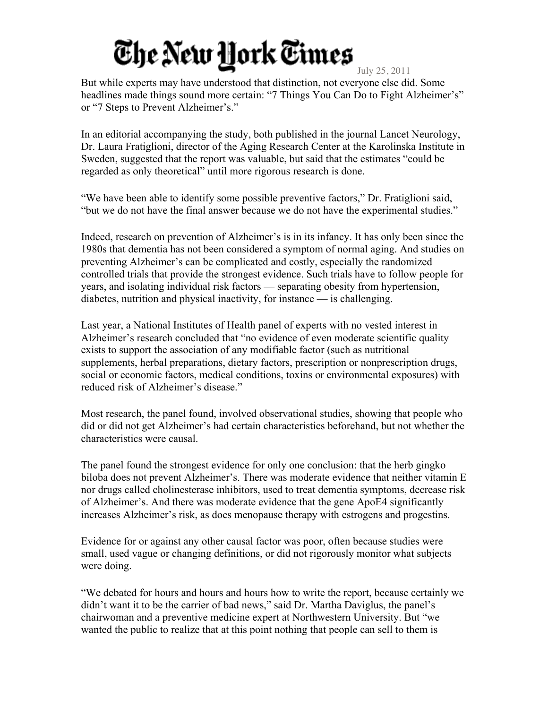## The New Hork Times

July 25, 2011

But while experts may have understood that distinction, not everyone else did. Some headlines made things sound more certain: "7 Things You Can Do to Fight Alzheimer's" or "7 Steps to Prevent Alzheimer's."

In an editorial accompanying the study, both published in the journal Lancet Neurology, Dr. Laura Fratiglioni, director of the Aging Research Center at the Karolinska Institute in Sweden, suggested that the report was valuable, but said that the estimates "could be regarded as only theoretical" until more rigorous research is done.

"We have been able to identify some possible preventive factors," Dr. Fratiglioni said, "but we do not have the final answer because we do not have the experimental studies."

Indeed, research on prevention of Alzheimer's is in its infancy. It has only been since the 1980s that dementia has not been considered a symptom of normal aging. And studies on preventing Alzheimer's can be complicated and costly, especially the randomized controlled trials that provide the strongest evidence. Such trials have to follow people for years, and isolating individual risk factors — separating obesity from hypertension, diabetes, nutrition and physical inactivity, for instance — is challenging.

Last year, a National Institutes of Health panel of experts with no vested interest in Alzheimer's research concluded that "no evidence of even moderate scientific quality exists to support the association of any modifiable factor (such as nutritional supplements, herbal preparations, dietary factors, prescription or nonprescription drugs, social or economic factors, medical conditions, toxins or environmental exposures) with reduced risk of Alzheimer's disease."

Most research, the panel found, involved observational studies, showing that people who did or did not get Alzheimer's had certain characteristics beforehand, but not whether the characteristics were causal.

The panel found the strongest evidence for only one conclusion: that the herb gingko biloba does not prevent Alzheimer's. There was moderate evidence that neither vitamin E nor drugs called cholinesterase inhibitors, used to treat dementia symptoms, decrease risk of Alzheimer's. And there was moderate evidence that the gene ApoE4 significantly increases Alzheimer's risk, as does menopause therapy with estrogens and progestins.

Evidence for or against any other causal factor was poor, often because studies were small, used vague or changing definitions, or did not rigorously monitor what subjects were doing.

"We debated for hours and hours and hours how to write the report, because certainly we didn't want it to be the carrier of bad news," said Dr. Martha Daviglus, the panel's chairwoman and a preventive medicine expert at Northwestern University. But "we wanted the public to realize that at this point nothing that people can sell to them is